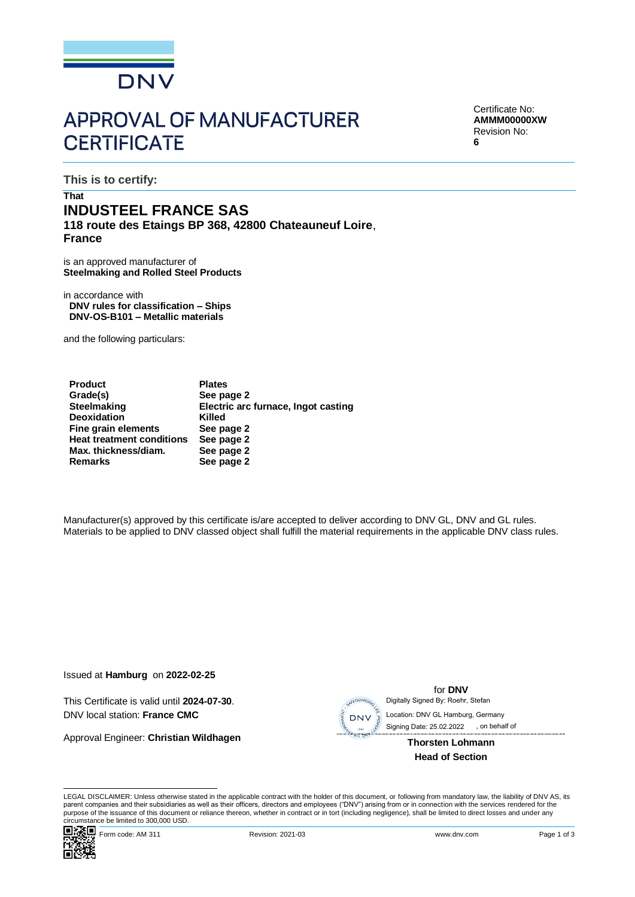

# **APPROVAL OF MANUFACTURER CERTIFICATE**

Certificate No: **AMMM00000XW** Revision No: **6**

**This is to certify:**

## **That INDUSTEEL FRANCE SAS 118 route des Etaings BP 368, 42800 Chateauneuf Loire**, **France**

is an approved manufacturer of **Steelmaking and Rolled Steel Products**

in accordance with **DNV rules for classification – Ships DNV-OS-B101 – Metallic materials**

and the following particulars:

| <b>Product</b>                   | <b>Plates</b>                       |
|----------------------------------|-------------------------------------|
| Grade(s)                         | See page 2                          |
| <b>Steelmaking</b>               | Electric arc furnace, Ingot casting |
| <b>Deoxidation</b>               | Killed                              |
| Fine grain elements              | See page 2                          |
| <b>Heat treatment conditions</b> | See page 2                          |
| Max. thickness/diam.             | See page 2                          |
| <b>Remarks</b>                   | See page 2                          |

Manufacturer(s) approved by this certificate is/are accepted to deliver according to DNV GL, DNV and GL rules. Materials to be applied to DNV classed object shall fulfill the material requirements in the applicable DNV class rules.

Issued at **Hamburg** on **2022-02-25**

This Certificate is valid until **2024-07-30**. DNV local station: **France CMC**

Approval Engineer: **Christian Wildhagen**



for **DNV** Digitally Signed By: Roehr, Stefan

 Signing Date: 25.02.2022 , on behalf ofLocation: DNV GL Hamburg, Germany

> **Thorsten Lohmann Head of Section**

LEGAL DISCLAIMER: Unless otherwise stated in the applicable contract with the holder of this document, or following from mandatory law, the liability of DNV AS, its parent companies and their subsidiaries as well as their officers, directors and employees ("DNV") arising from or in connection with the services rendered for the purpose of the issuance of this document or reliance thereon, whether in contract or in tort (including negligence), shall be limited to direct losses and under any circumstance be limited to 300,000 USD.

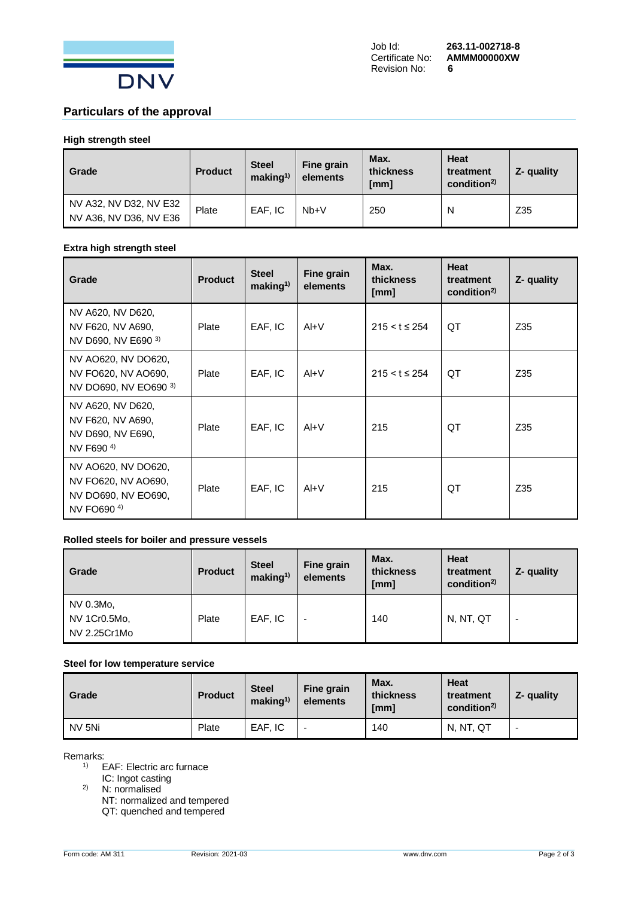

## **Particulars of the approval**

## **High strength steel**

| Grade                                            | <b>Product</b> | <b>Steel</b><br>making <sup>1</sup> | Fine grain<br>elements | Max.<br>thickness<br>[mm] | Heat<br>treatment<br>condition <sup>2)</sup> | Z- quality |
|--------------------------------------------------|----------------|-------------------------------------|------------------------|---------------------------|----------------------------------------------|------------|
| NV A32, NV D32, NV E32<br>NV A36, NV D36, NV E36 | Plate          | EAF. IC                             | $Nb + V$               | 250                       | N                                            | Z35        |

#### **Extra high strength steel**

| Grade                                                                                       | <b>Product</b> | <b>Steel</b><br>making <sup>1</sup> | Fine grain<br>elements | Max.<br>thickness<br>[mm] | Heat<br>treatment<br>condition <sup>2</sup> | Z- quality |
|---------------------------------------------------------------------------------------------|----------------|-------------------------------------|------------------------|---------------------------|---------------------------------------------|------------|
| NV A620, NV D620,<br>NV F620, NV A690,<br>NV D690, NV E690 3)                               | Plate          | EAF, IC                             | $AI+V$                 | $215 < t \leq 254$        | QT                                          | Z35        |
| NV AO620, NV DO620,<br>NV FO620, NV AO690,<br>NV DO690, NV EO690 3)                         | Plate          | EAF, IC                             | $AI+V$                 | $215 < t \leq 254$        | QT                                          | Z35        |
| NV A620, NV D620,<br>NV F620, NV A690,<br>NV D690, NV E690.<br>NV F690 <sup>4)</sup>        | Plate          | EAF, IC                             | $AI+V$                 | 215                       | ОT                                          | Z35        |
| NV AO620, NV DO620,<br>NV FO620, NV AO690,<br>NV DO690, NV EO690,<br>NV FO690 <sup>4)</sup> | Plate          | EAF, IC                             | $AI+V$                 | 215                       | QT                                          | Z35        |

### **Rolled steels for boiler and pressure vessels**

| Grade                                     | <b>Product</b> | <b>Steel</b><br>making <sup>1</sup> | Fine grain<br>elements   | Max.<br>thickness<br>[mm] | <b>Heat</b><br>treatment<br>condition <sup>2)</sup> | Z- quality               |
|-------------------------------------------|----------------|-------------------------------------|--------------------------|---------------------------|-----------------------------------------------------|--------------------------|
| NV 0.3Mo,<br>NV 1Cr0.5Mo,<br>NV 2.25Cr1Mo | Plate          | EAF, IC                             | $\overline{\phantom{0}}$ | 140                       | N, NT, QT                                           | $\overline{\phantom{0}}$ |

#### **Steel for low temperature service**

| Grade  | <b>Product</b> | <b>Steel</b><br>making <sup>1</sup> | Fine grain<br>elements | Max.<br>thickness<br>[mm] | Heat<br>treatment<br>condition <sup>2)</sup> | Z- quality               |
|--------|----------------|-------------------------------------|------------------------|---------------------------|----------------------------------------------|--------------------------|
| NV 5Ni | Plate          | EAF. IC                             |                        | 140                       | N, NT, QT                                    | $\overline{\phantom{0}}$ |

Remarks:

- 1) EAF: Electric arc furnace
- IC: Ingot casting

<sup>2)</sup> N: normalised NT: normalized and tempered

QT: quenched and tempered